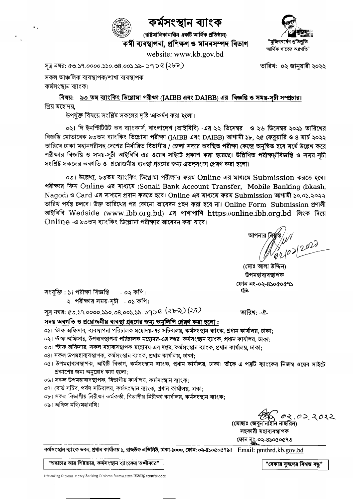

# কৰ্মসংস্থান ব্যাংক

website: www.kb.gov.bd

(রাষ্ট্রমালিকানাধীন একটি আর্থিক প্রতিষ্ঠান) কৰ্মী ব্যবস্থাপনা, প্ৰশিক্ষণ ও মানবসম্পদ বিভাগ



তারিখ: ০২ জানুয়ারী ২০২২

সূত্র নম্বর: ৫৩.১৭.০০০০.১১০.৩৪.০০১.১৯- ১৭ ১ ৎ (২৮ন)

সকল আঞ্চলিক ব্যবস্থাপক/শাখা ব্যবস্থাপক

কৰ্মসংস্থান ব্যাংক।

বিষয়: ৯৩ তম ব্যাংকিং ডিপ্লোমা পরীক্ষা (JAIBB এবং DAIBB) এর বিজ্ঞপ্তি ও সময়-সচী সম্প্রচার। প্ৰিয় মহোদয়,

উপর্যুক্ত বিষয়ে সংশ্লিষ্ট সকলের দৃষ্টি আকর্ষণ করা হলো।

০২। দি ইনস্টিটিউট অব ব্যাংকার্স, বাংলাদেশ (আইবিবি) -এর ২২ ডিসেম্বর ও ২৬ ডিসেম্বর ২০২১ তারিখের বিজ্ঞপ্তি মোতাবেক ৯৩তম ব্যাংকিং ডিপ্লোমা পরীক্ষা (JAIBB এবং DAIBB) আগামী ১৮, ২৫ ফেব্রয়ারি ও ৪ মার্চ ২০২২ তারিখে ঢাকা মহানগরীসহ দেশের নির্ধারিত বিভাগীয় / জেলা সদরে অবস্থিত পরীক্ষা কেন্দ্রে অনুষ্ঠিত হবে মর্মে উল্লেখ করে পরীক্ষার বিজ্ঞপ্তি ও সময়-সচী আইবিবি এর ওয়েব সাইটে প্রকাশ করা হয়েছে। উল্লিখিত পরীক্ষার্থবিজ্ঞপ্তি ও সময়-সচী সংশ্লিষ্ট সকলের অবগতি ও প্রয়োজনীয় ব্যবস্থা গ্রহণের জন্য এতদসংগে প্রেরণ করা হলো।

০৩। উল্লেখ্য, ৯৩তম ব্যাংকিং ডিপ্লোমা পরীক্ষার ফরম Online এর মাধ্যমে Submission করতে হবে। পরীক্ষার ফিস Online এর মাধ্যমে (Sonali Bank Account Transfer, Mobile Banking (bkash, Nagod) ও Card এর মাধ্যমে প্রদান করতে হবে। Online এর মাধ্যমে ফরম Submission আগামী ১০.০১.২০২২ তারিখ পর্যন্ত চলবে। উক্ত তারিখের পর কোনো আবেদন গ্রহণ করা হবে না। Online Form Submission প্রণালী আইবিবি Wedside (www.ibb.org.bd) এর পাশাপাশি https://online.ibb.org.bd লিংক দিয়ে Online -এ ৯৩তম ব্যাংকিং ডিপ্লোমা পরীক্ষার আবেদন করা যাবে।

(মোঃ আলা উদ্দিন) উপমহাব্যবস্থাপক ফোন নং-০২-৪১০৫০৫৭১ æ.

তারিখ: -ঐ-

সংযুক্তি: ১। পরীক্ষা বিজ্ঞপ্তি - ০২ কপি। ২। পরীক্ষার সময়-সূচী - ০১ কপি।

সূত্র নম্বর: ৫৩.১৭.০০০০.১১০.৩৪.০০১.১৯-১৭১৫ (২৮৯) (২*ন)* 

সদয় অবগতি ও প্রয়োজনীয় ব্যবস্থা গ্রহণের জন্য অনুলিপি প্রেরণ করা হলো:

- ০১। স্টাফ অফিসার, ব্যবস্থাপনা পরিচালক মহোদয়-এর সচিবালয়, কর্মসংস্থান ব্যাংক, প্রধান কার্যালয়, ঢাকা:
- ০২। স্টাফ অফিসার, উপব্যবস্থাপনা পরিচালক মহোদয়-এর দপ্তর, কর্মসংস্থান ব্যাংক, প্রধান কার্যালয়, ঢাকা:
- ০৩। স্টাফ অফিসার, সকল মহাব্যবস্থাপক মহোদয়-এর দপ্তর, কর্মসংস্থান ব্যাংক, প্রধান কার্যালয়, ঢাকা:
- ০৪। সকল উপমহাব্যবস্থাপক, কৰ্মসংস্থান ব্যাংক, প্ৰধান কাৰ্যালয়, ঢাকা:
- ০৫। উপমহাব্যবস্থাপক, আইটি বিভাগ, কর্মসংস্থান ব্যাংক, প্রধান কার্যালয়, ঢাকা। তীকে এ পত্রটি ব্যাংকের নিজস্ব ওয়েব সাইটে প্রকাশের জন্য অনুরোধ করা হলো;
- ০৬। সকল উপমহাব্যবস্থাপক, বিভাগীয় কাৰ্যালয়, কৰ্মসংস্থান ব্যাংক:
- ০৭। বোর্ড সচিব, পর্যদ সচিবালয়, কর্মসংস্থান ব্যাংক, প্রধান কার্যালয়, ঢাকা;
- ০৮। সকল বিভাগীয় নিরীক্ষা কর্মকর্তা, বিভাগীয় নিরীক্ষা কার্যালয়, কর্মসংস্থান ব্যাংক;
- ০৯। অফিস নথি/মহানথি।

02.02.2022

(মোছাঃ জেবুন নাইনি নাছরিন) সহকারী মহাব্যবস্থাপক ফোন নুং-০২-৪১০৫০৫৭৩

"শুদ্ধাচার আর শিষ্টাচার, কর্মসংস্থান ব্যাংকের অঙ্গীকার"

"বেকার যুবদের বিশ্বন্ত বন্ধ"

E:\Banking Diploma Money\Banking Diploma Exam\Letter- विष्ठ & अल्लाक्ष (docx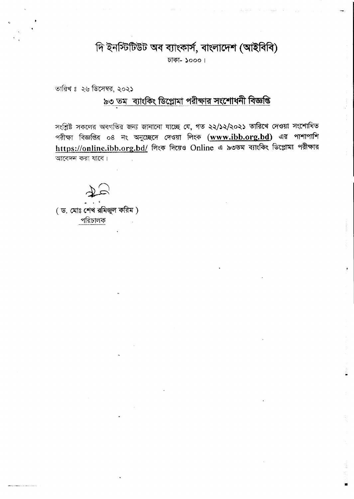# দি ইনস্টিটিউট অব ব্যাংকার্স, বাংলাদেশ (আইবিবি)

ঢাকা- ১০০০।

তারিখ ঃ ২৬ ডিসেম্বর, ২০২১

# ৯৩ তম ব্যাংকিং ডিপ্লোমা পরীক্ষার সংশোধনী বিজ্ঞপ্তি

সংশ্লিষ্ট সকলের অবগতির জন্য জানানো যাচ্ছে যে, গত ২২/১২/২০২১ তারিখে দেওয়া সংশোধিত পরীক্ষা বিজ্ঞপ্তির ০৪ নং অনুচ্ছেদে দেওয়া লিংক (www.ibb.org.bd) এর পাশাপাশি https://online.ibb.org.bd/ লিংক দিয়েও Online এ ৯৩তম ব্যাংকিং ডিপ্লোমা পরীক্ষার আবেদন করা যাবে।

(ড. মোঃ শেখ রমিজুল করিম) পরিচালক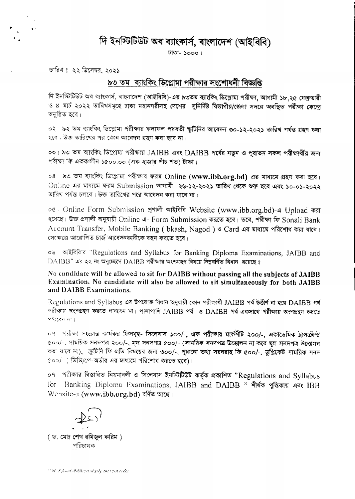দি ইনস্টিটিউট অব ব্যাংকার্স, বাংলাদেশ (আইবিবি)

টাকা- ১০০০।

তারিখঃ ২২ ডিসেম্বর, ২০২১

#### ৯৩ তম ব্যাংকিং ডিপ্লোমা পরীক্ষার সংশোধনী বিজ্ঞপ্তি

দি ইনস্টিটিউট অব ব্যাংকার্স, বাংলাদেশ (আইবিবি)-এর ৯৩তম ব্যাংকিং ডিপ্লোমা পরীক্ষা, আগামী ১৮,২৫ ফেব্রুয়ারী ও ৪ মার্চ ২০২২ তারিখসমূহে ঢাকা মহানগরীসহ দেশের 'সুনির্দিষ্ট বিভাগীয়/জেলা সদরে অবস্থিত পরীক্ষা কেন্দ্রে অনুষ্ঠিত হবে।

০২ ৷ ৯২ তম ব্যাংকিং ভিগ্লোমা পরীক্ষার ফলাফল পরবর্তী স্কুটিনির আবেদন ৩০-১২-২০২১ তারিখ পর্যন্ত গ্রহণ করা হবে। উক্ত তারিখের পর কোম আবেদন গ্রহণ করা হবে না।

০৩। ৯৩ তম ব্যাংকিং ডিগ্লোমা পরীক্ষায় JAIBB এবং DAIBB পর্বের নতুন ও পুরাতন সকল পরীক্ষার্থীর জন্য পরীক্ষা ফি এককালীন ১৫০০,০০ (এক হাজার পাঁচ শত) টাকা।

০৪ ১৩ তম ব্যাংকিং ডিপ্লোমা পরীক্ষার ফরম Online (www.ibb.org.bd) এর মাধ্যমে প্রহণ করা হবে। Online এর মাধ্যমে ফরম Submission আগামী ২৬-১২-২০২১ তারিখ থেকে গুরু হবে এবং ১০-০১-২০২২ তারিখ পর্যন্ত চলবে। উক্ত তারিখের পরে আবেদন করা যাবে না।

০৫ Online Form Submission প্ৰণালী আইবিবি Website (www.ibb.org.bd)-এ Upload করা হয়েছে। উক্ত প্ৰণালী অনুযায়ী Online এ- Form Submission কৰতে হৰে। তৰে, পৰীক্ষা ফি Sonali Bank Account Transfer, Mobile Banking (bkash, Nagod) e Card এর মাধ্যমে পরিশোধ করা যাবে। সেক্ষেত্রে আরোপিত চার্জ আবেদনকারীকে বহন করতে হবে।

oঙ आইবিৰি's "Regulations and Syllabus for Banking Diploma Examinations, JAJBB and  $DABB$ " এর ২২ নং অনুচেইদে  $DABB$  পরীক্ষায় অংশগ্রহণ বিষয়ে নিম্নবর্ণিত বিধান রয়েছে ঃ

No candidate will be allowed to sit for DAIBB without passing all the subjects of JAIBB Examination. No candidate will also be allowed to sit simultaneously for both JAIBB and DAIBB Examinations.

Regulations and Syllabus এর উপরোক্ত বিধান অনুযায়ী কোন পরীক্ষার্থী JAIBB পর্ব উত্তীর্ণ না হয়ে DAIBB পর্ব পরীক্ষায় অংশগ্রহণ করতে পারবেদ মা। পাশাপাশি JAIBB পর্ব ও DAIBB পর্ব একসাথে পরীক্ষায় অংশগ্রহণ করতে शिव्हरू खा।

০৭ - পরীক্ষা সংক্রান্ত কার্যকর ফিসমূহ- সিলেবাস ১০০/-, এক পরীক্ষা**র মার্কশীট ২০০/-, একাডেমিক ট্রান্সক্রীপ্ট** ৫০০/-, সাময়িক সনদপত্র ২০০/-, মূল সনদপত্র ৫০০/- (সাময়িক সনদপত্র উত্তোলন না করে মূল সনদপত্র উত্তোলন করা যাবে না), জ্রুটিনি ফি প্রতি বিষয়ের জন্য ৩০০/-, পুরানো তথ্য সরবরাহ ফি ৫০০/-, ডুপ্লিকেট সাময়িক সনদ ৫০০/- ( ডিডি/পে-অর্ডার এর মাধ্যমে পরিশোধ করতে হবে)।

০৭। পরীক্ষার বিস্তারিত নিয়মাবলী ও সিলেবাস ইনস্টিটিউট কর্তৃক প্রকাশিত "Regulations and Syllabus for Banking Diploma Examinations, JAIBB and DAIBB " শীৰ্ষক পুত্তিকায় এবং IBB Website- $s$  (www.ibb.org.bd) বৰ্ণিত আছে।

(ড. মোঃ শেখ রমিজুল করিম) পরিচালক